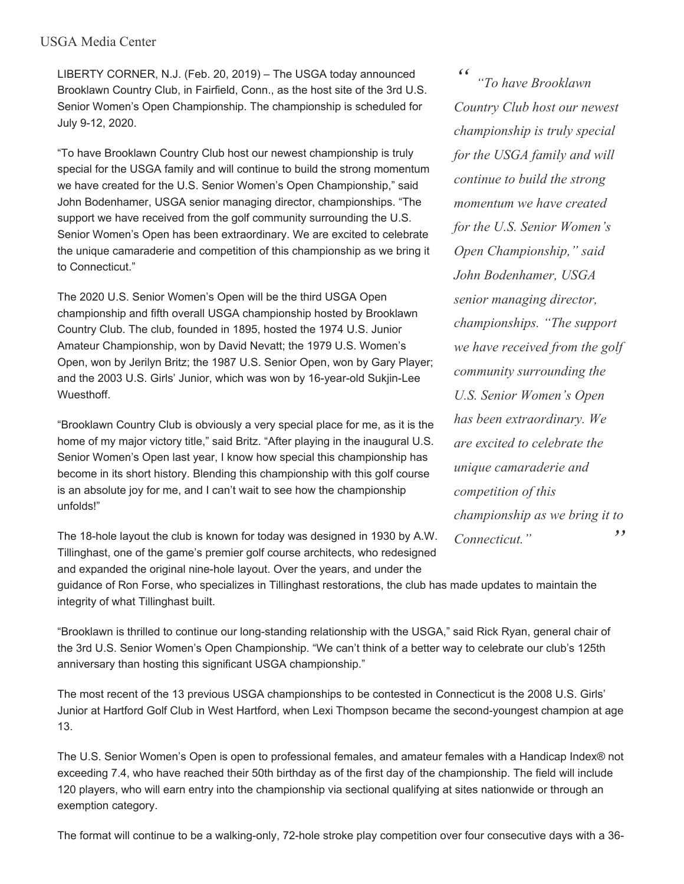## USGA Media Center

LIBERTY CORNER, N.J. (Feb. 20, 2019) – The USGA today announced Brooklawn Country Club, in Fairfield, Conn., as the host site of the 3rd U.S. Senior Women's Open Championship. The championship is scheduled for July 9-12, 2020.

"To have Brooklawn Country Club host our newest championship is truly special for the USGA family and will continue to build the strong momentum we have created for the U.S. Senior Women's Open Championship," said John Bodenhamer, USGA senior managing director, championships. "The support we have received from the golf community surrounding the U.S. Senior Women's Open has been extraordinary. We are excited to celebrate the unique camaraderie and competition of this championship as we bring it to Connecticut."

The 2020 U.S. Senior Women's Open will be the third USGA Open championship and fifth overall USGA championship hosted by Brooklawn Country Club. The club, founded in 1895, hosted the 1974 U.S. Junior Amateur Championship, won by David Nevatt; the 1979 U.S. Women's Open, won by Jerilyn Britz; the 1987 U.S. Senior Open, won by Gary Player; and the 2003 U.S. Girls' Junior, which was won by 16-year-old Sukjin-Lee Wuesthoff.

"Brooklawn Country Club is obviously a very special place for me, as it is the home of my major victory title," said Britz. "After playing in the inaugural U.S. Senior Women's Open last year, I know how special this championship has become in its short history. Blending this championship with this golf course is an absolute joy for me, and I can't wait to see how the championship unfolds!"

The 18-hole layout the club is known for today was designed in 1930 by A.W. Tillinghast, one of the game's premier golf course architects, who redesigned and expanded the original nine-hole layout. Over the years, and under the

*" " "To have Brooklawn Country Club host our newest championship is truly special for the USGA family and will continue to build the strong momentum we have created for the U.S. Senior Women's Open Championship," said John Bodenhamer, USGA senior managing director, championships. "The support we have received from the golf community surrounding the U.S. Senior Women's Open has been extraordinary. We are excited to celebrate the unique camaraderie and competition of this championship as we bring it to Connecticut."*

guidance of Ron Forse, who specializes in Tillinghast restorations, the club has made updates to maintain the integrity of what Tillinghast built.

"Brooklawn is thrilled to continue our long-standing relationship with the USGA," said Rick Ryan, general chair of the 3rd U.S. Senior Women's Open Championship. "We can't think of a better way to celebrate our club's 125th anniversary than hosting this significant USGA championship."

The most recent of the 13 previous USGA championships to be contested in Connecticut is the 2008 U.S. Girls' Junior at Hartford Golf Club in West Hartford, when Lexi Thompson became the second-youngest champion at age 13.

The U.S. Senior Women's Open is open to professional females, and amateur females with a Handicap Index® not exceeding 7.4, who have reached their 50th birthday as of the first day of the championship. The field will include 120 players, who will earn entry into the championship via sectional qualifying at sites nationwide or through an exemption category.

The format will continue to be a walking-only, 72-hole stroke play competition over four consecutive days with a 36-